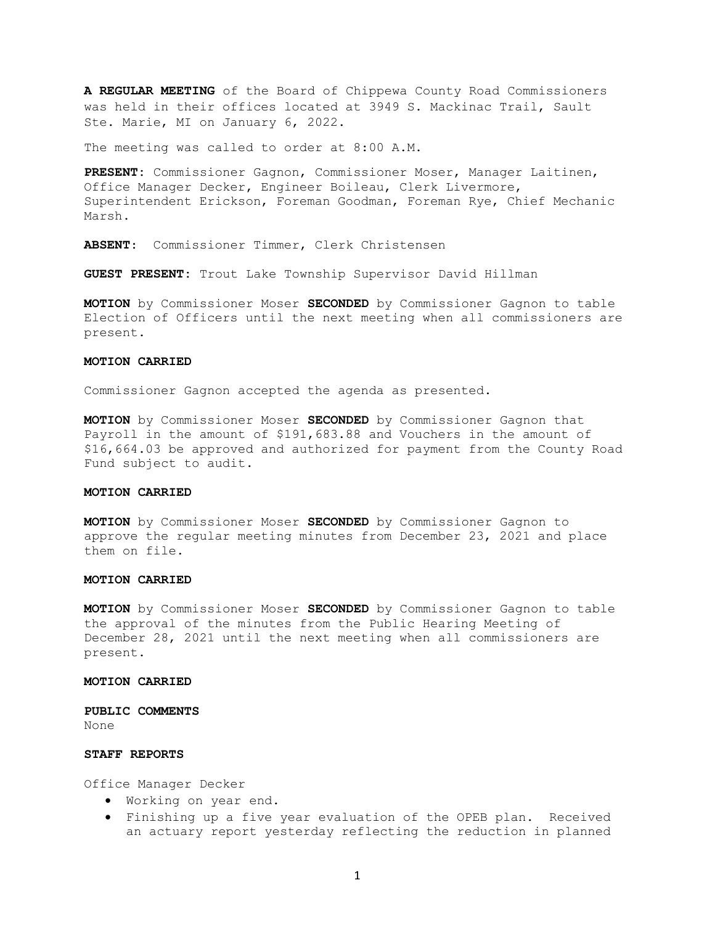A REGULAR MEETING of the Board of Chippewa County Road Commissioners was held in their offices located at 3949 S. Mackinac Trail, Sault Ste. Marie, MI on January 6, 2022.

The meeting was called to order at 8:00 A.M.

PRESENT: Commissioner Gagnon, Commissioner Moser, Manager Laitinen, Office Manager Decker, Engineer Boileau, Clerk Livermore, Superintendent Erickson, Foreman Goodman, Foreman Rye, Chief Mechanic Marsh.

ABSENT: Commissioner Timmer, Clerk Christensen

GUEST PRESENT: Trout Lake Township Supervisor David Hillman

MOTION by Commissioner Moser SECONDED by Commissioner Gagnon to table Election of Officers until the next meeting when all commissioners are present.

### MOTION CARRIED

Commissioner Gagnon accepted the agenda as presented.

MOTION by Commissioner Moser SECONDED by Commissioner Gagnon that Payroll in the amount of \$191,683.88 and Vouchers in the amount of \$16,664.03 be approved and authorized for payment from the County Road Fund subject to audit.

### MOTION CARRIED

MOTION by Commissioner Moser SECONDED by Commissioner Gagnon to approve the regular meeting minutes from December 23, 2021 and place them on file.

### MOTION CARRIED

MOTION by Commissioner Moser SECONDED by Commissioner Gagnon to table the approval of the minutes from the Public Hearing Meeting of December 28, 2021 until the next meeting when all commissioners are present.

# MOTION CARRIED

PUBLIC COMMENTS None

### STAFF REPORTS

Office Manager Decker

- Working on year end.
- Finishing up a five year evaluation of the OPEB plan. Received an actuary report yesterday reflecting the reduction in planned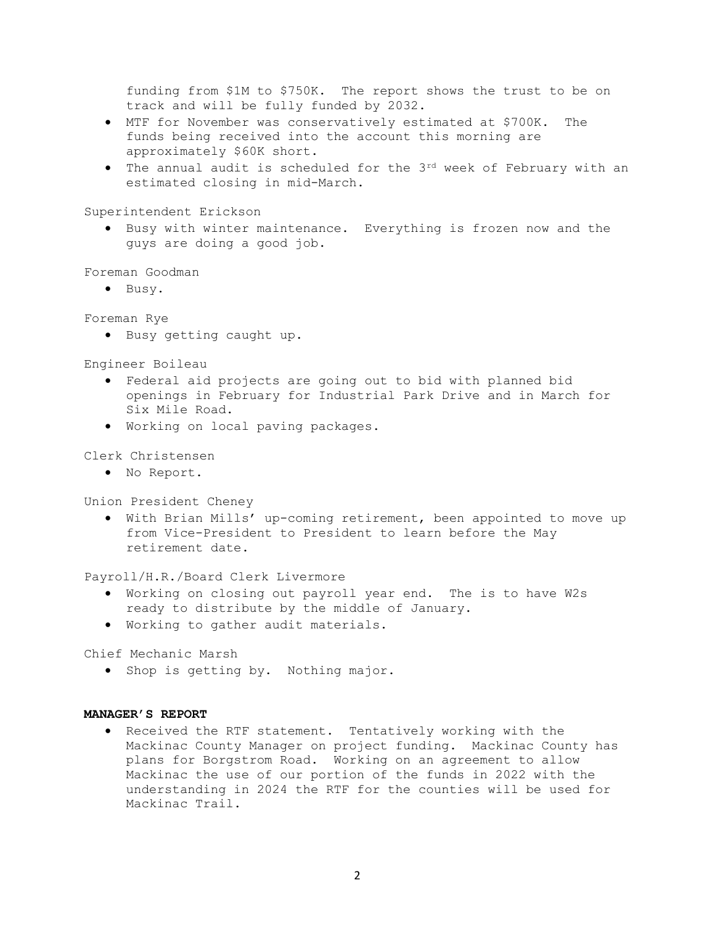funding from \$1M to \$750K. The report shows the trust to be on track and will be fully funded by 2032.

- MTF for November was conservatively estimated at \$700K. The funds being received into the account this morning are approximately \$60K short.
- The annual audit is scheduled for the 3<sup>rd</sup> week of February with an estimated closing in mid-March.

Superintendent Erickson

 Busy with winter maintenance. Everything is frozen now and the guys are doing a good job.

Foreman Goodman

• Busy.

Foreman Rye

Busy getting caught up.

Engineer Boileau

- Federal aid projects are going out to bid with planned bid openings in February for Industrial Park Drive and in March for Six Mile Road.
- Working on local paving packages.

# Clerk Christensen

No Report.

Union President Cheney

 With Brian Mills' up-coming retirement, been appointed to move up from Vice-President to President to learn before the May retirement date.

Payroll/H.R./Board Clerk Livermore

- Working on closing out payroll year end. The is to have W2s ready to distribute by the middle of January.
- Working to gather audit materials.

Chief Mechanic Marsh

• Shop is getting by. Nothing major.

# MANAGER'S REPORT

• Received the RTF statement. Tentatively working with the Mackinac County Manager on project funding. Mackinac County has plans for Borgstrom Road. Working on an agreement to allow Mackinac the use of our portion of the funds in 2022 with the understanding in 2024 the RTF for the counties will be used for Mackinac Trail.